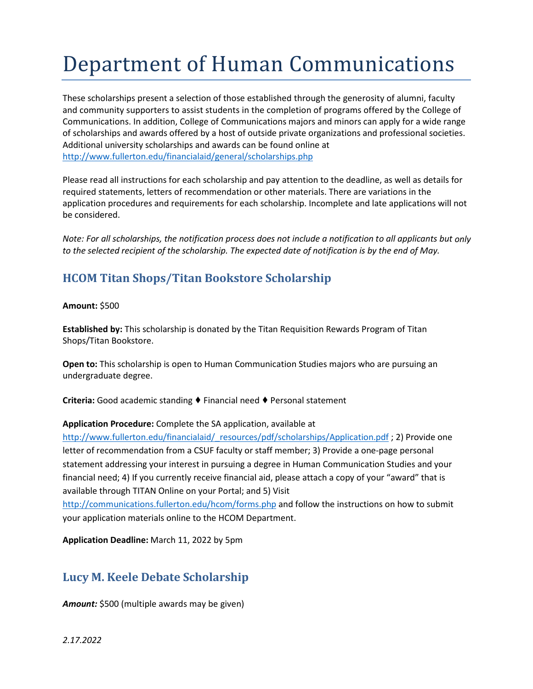# Department of Human Communications

These scholarships present a selection of those established through the generosity of alumni, faculty and community supporters to assist students in the completion of programs offered by the College of Communications. In addition, College of Communications majors and minors can apply for a wide range of scholarships and awards offered by a host of outside private organizations and professional societies. Additional university scholarships and awards can be found online at <http://www.fullerton.edu/financialaid/general/scholarships.php>

Please read all instructions for each scholarship and pay attention to the deadline, as well as details for required statements, letters of recommendation or other materials. There are variations in the application procedures and requirements for each scholarship. Incomplete and late applications will not be considered.

*Note: For all scholarships, the notification process does not include a notification to all applicants but only to the selected recipient of the scholarship. The expected date of notification is by the end of May.*

## **HCOM Titan Shops/Titan Bookstore Scholarship**

**Amount:** \$500

**Established by:** This scholarship is donated by the Titan Requisition Rewards Program of Titan Shops/Titan Bookstore.

**Open to:** This scholarship is open to Human Communication Studies majors who are pursuing an undergraduate degree.

**Criteria:** Good academic standing ♦ Financial need ♦ Personal statement

#### **Application Procedure:** Complete the SA application, available at

[http://www.fullerton.edu/financialaid/\\_resources/pdf/scholarships/Application.pdf](http://www.fullerton.edu/financialaid/_resources/pdf/scholarships/Application.pdf) ; 2) Provide one letter of recommendation from a CSUF faculty or staff member; 3) Provide a one-page personal statement addressing your interest in pursuing a degree in Human Communication Studies and your financial need; 4) If you currently receive financial aid, please attach a copy of your "award" that is available through TITAN Online on your Portal; and 5) Visit

<http://communications.fullerton.edu/hcom/forms.php> and follow the instructions on how to submit your application materials online to the HCOM Department.

**Application Deadline:** March 11, 2022 by 5pm

## **Lucy M. Keele Debate Scholarship**

*Amount:* \$500 (multiple awards may be given)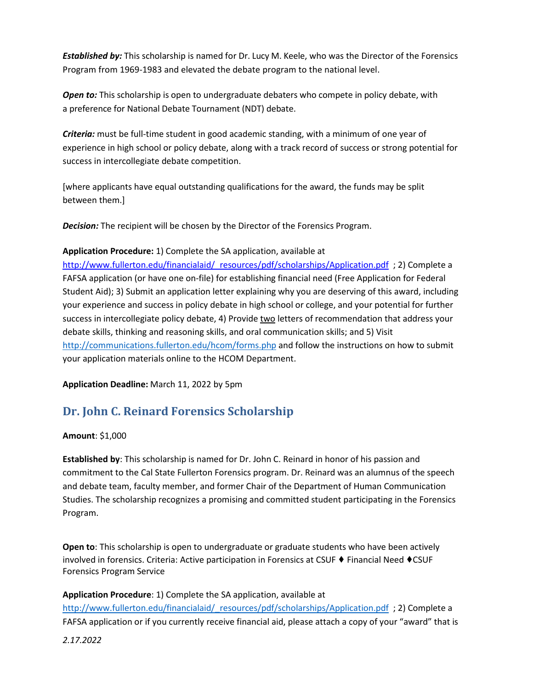*Established by:* This scholarship is named for Dr. Lucy M. Keele, who was the Director of the Forensics Program from 1969-1983 and elevated the debate program to the national level.

*Open to:* This scholarship is open to undergraduate debaters who compete in policy debate, with a preference for National Debate Tournament (NDT) debate.

*Criteria:* must be full-time student in good academic standing, with a minimum of one year of experience in high school or policy debate, along with a track record of success or strong potential for success in intercollegiate debate competition.

[where applicants have equal outstanding qualifications for the award, the funds may be split between them.]

*Decision:* The recipient will be chosen by the Director of the Forensics Program.

#### **Application Procedure:** 1) Complete the SA application, available at

[http://www.fullerton.edu/financialaid/\\_resources/pdf/scholarships/Application.pdf](https://campusmail.fullerton.edu/owa/redir.aspx?C=LxQXDRGdrjl7AnywijZ6_mBJzZc4YtdIWtHJZ9D-z0GpaPqnpUPUCA..&URL=http%3a%2f%2fwww.fullerton.edu%2ffinancialaid%2f_resources%2fpdf%2fscholarships%2fApplication.pdf) ; 2) Complete a FAFSA application (or have one on-file) for establishing financial need (Free Application for Federal Student Aid); 3) Submit an application letter explaining why you are deserving of this award, including your experience and success in policy debate in high school or college, and your potential for further success in intercollegiate policy debate, 4) Provide two letters of recommendation that address your debate skills, thinking and reasoning skills, and oral communication skills; and 5) Visit <http://communications.fullerton.edu/hcom/forms.php> and follow the instructions on how to submit your application materials online to the HCOM Department.

**Application Deadline:** March 11, 2022 by 5pm

## **Dr. John C. Reinard Forensics Scholarship**

#### **Amount**: \$1,000

**Established by**: This scholarship is named for Dr. John C. Reinard in honor of his passion and commitment to the Cal State Fullerton Forensics program. Dr. Reinard was an alumnus of the speech and debate team, faculty member, and former Chair of the Department of Human Communication Studies. The scholarship recognizes a promising and committed student participating in the Forensics Program.

**Open to**: This scholarship is open to undergraduate or graduate students who have been actively involved in forensics. Criteria: Active participation in Forensics at CSUF ♦ Financial Need ♦CSUF Forensics Program Service

**Application Procedure**: 1) Complete the SA application, available at

[http://www.fullerton.edu/financialaid/\\_resources/pdf/scholarships/Application.pdf](https://nam01.safelinks.protection.outlook.com/?url=http%3A%2F%2Fwww.fullerton.edu%2Ffinancialaid%2F_resources%2Fpdf%2Fscholarships%2FApplication.pdf&data=02%7C01%7Cjevu%40Fullerton.edu%7Ccb2c6e149ee0474e024508d7596de85f%7C82c0b871335f4b5c9ed0a4a23565a79b%7C0%7C0%7C637076200889885046&sdata=1srFP%2BBHT8oiRCEb02do6vn6BnCS2b0sLKqmOgE807k%3D&reserved=0) ; 2) Complete a FAFSA application or if you currently receive financial aid, please attach a copy of your "award" that is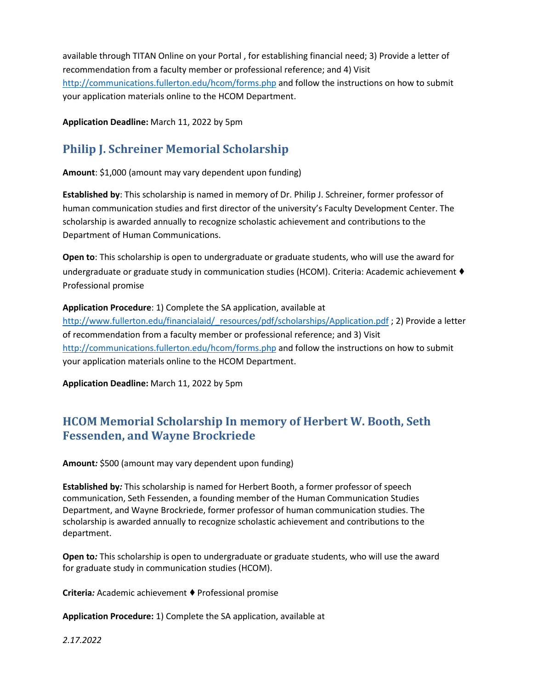available through TITAN Online on your Portal , for establishing financial need; 3) Provide a letter of recommendation from a faculty member or professional reference; and 4) Visit <http://communications.fullerton.edu/hcom/forms.php> and follow the instructions on how to submit your application materials online to the HCOM Department.

**Application Deadline:** March 11, 2022 by 5pm

# **Philip J. Schreiner Memorial Scholarship**

**Amount**: \$1,000 (amount may vary dependent upon funding)

**Established by**: This scholarship is named in memory of Dr. Philip J. Schreiner, former professor of human communication studies and first director of the university's Faculty Development Center. The scholarship is awarded annually to recognize scholastic achievement and contributions to the Department of Human Communications.

**Open to**: This scholarship is open to undergraduate or graduate students, who will use the award for undergraduate or graduate study in communication studies (HCOM). Criteria: Academic achievement ♦ Professional promise

### **Application Procedure**: 1) Complete the SA application, available at

[http://www.fullerton.edu/financialaid/\\_resources/pdf/scholarships/Application.pdf](https://nam01.safelinks.protection.outlook.com/?url=http%3A%2F%2Fwww.fullerton.edu%2Ffinancialaid%2F_resources%2Fpdf%2Fscholarships%2FApplication.pdf&data=02%7C01%7Cjevu%40Fullerton.edu%7Cbe0e241ae88f4d07f86408d7596c8c71%7C82c0b871335f4b5c9ed0a4a23565a79b%7C0%7C0%7C637076195058109256&sdata=Fbks0dEoT5hJndhSJFpqoazxsk%2BgNoip8gZkr%2BnE86c%3D&reserved=0) ; 2) Provide a letter of recommendation from a faculty member or professional reference; and 3) Visit <http://communications.fullerton.edu/hcom/forms.php> and follow the instructions on how to submit your application materials online to the HCOM Department.

**Application Deadline:** March 11, 2022 by 5pm

## **HCOM Memorial Scholarship In memory of Herbert W. Booth, Seth Fessenden, and Wayne Brockriede**

**Amount***:* \$500 (amount may vary dependent upon funding)

**Established by***:* This scholarship is named for Herbert Booth, a former professor of speech communication, Seth Fessenden, a founding member of the Human Communication Studies Department, and Wayne Brockriede, former professor of human communication studies. The scholarship is awarded annually to recognize scholastic achievement and contributions to the department.

**Open to***:* This scholarship is open to undergraduate or graduate students, who will use the award for graduate study in communication studies (HCOM).

**Criteria**: Academic achievement ♦ Professional promise

**Application Procedure:** 1) Complete the SA application, available at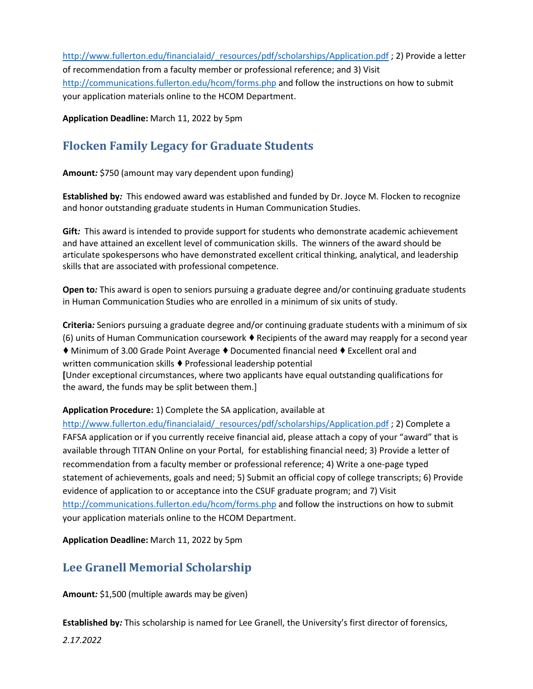[http://www.fullerton.edu/financialaid/\\_resources/pdf/scholarships/Application.pdf](http://www.fullerton.edu/financialaid/_resources/pdf/scholarships/Application.pdf) ; 2) Provide a letter of recommendation from a faculty member or professional reference; and 3) Visit <http://communications.fullerton.edu/hcom/forms.php> and follow the instructions on how to submit your application materials online to the HCOM Department.

**Application Deadline:** March 11, 2022 by 5pm

## **Flocken Family Legacy for Graduate Students**

**Amount***:* \$750 (amount may vary dependent upon funding)

**Established by***:* This endowed award was established and funded by Dr. Joyce M. Flocken to recognize and honor outstanding graduate students in Human Communication Studies.

**Gift***:* This award is intended to provide support for students who demonstrate academic achievement and have attained an excellent level of communication skills. The winners of the award should be articulate spokespersons who have demonstrated excellent critical thinking, analytical, and leadership skills that are associated with professional competence.

**Open to***:* This award is open to seniors pursuing a graduate degree and/or continuing graduate students in Human Communication Studies who are enrolled in a minimum of six units of study.

**Criteria***:* Seniors pursuing a graduate degree and/or continuing graduate students with a minimum of six (6) units of Human Communication coursework  $\blacklozenge$  Recipients of the award may reapply for a second year ♦ Minimum of 3.00 Grade Point Average ♦Documented financial need ♦ Excellent oral and written communication skills ♦ Professional leadership potential **[**Under exceptional circumstances, where two applicants have equal outstanding qualifications for the award, the funds may be split between them.]

**Application Procedure:** 1) Complete the SA application, available at

[http://www.fullerton.edu/financialaid/\\_resources/pdf/scholarships/Application.pdf](http://www.fullerton.edu/financialaid/_resources/pdf/scholarships/Application.pdf); 2) Complete a FAFSA application or if you currently receive financial aid, please attach a copy of your "award" that is available through TITAN Online on your Portal, for establishing financial need; 3) Provide a letter of recommendation from a faculty member or professional reference; 4) Write a one-page typed statement of achievements, goals and need; 5) Submit an official copy of college transcripts; 6) Provide evidence of application to or acceptance into the CSUF graduate program; and 7) Visit <http://communications.fullerton.edu/hcom/forms.php> and follow the instructions on how to submit your application materials online to the HCOM Department.

**Application Deadline:** March 11, 2022 by 5pm

## **Lee Granell Memorial Scholarship**

**Amount***:* \$1,500 (multiple awards may be given)

**Established by***:* This scholarship is named for Lee Granell, the University's first director of forensics,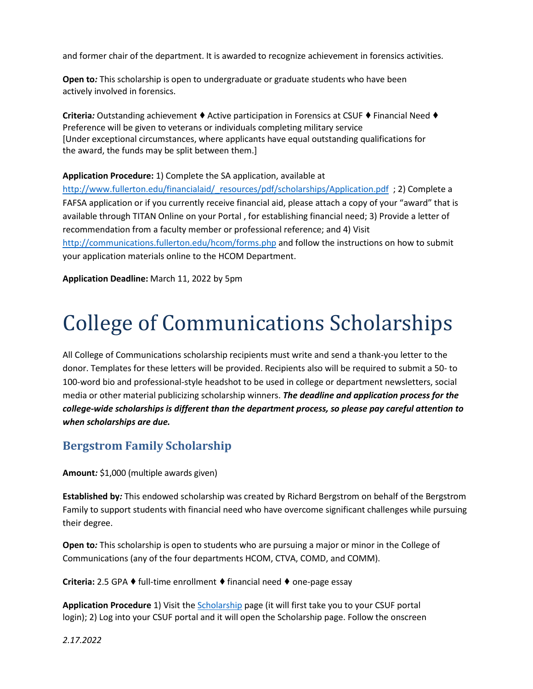and former chair of the department. It is awarded to recognize achievement in forensics activities.

**Open to***:* This scholarship is open to undergraduate or graduate students who have been actively involved in forensics.

**Criteria***:* Outstanding achievement ♦ Active participation in Forensics at CSUF ♦ Financial Need ♦ Preference will be given to veterans or individuals completing military service [Under exceptional circumstances, where applicants have equal outstanding qualifications for the award, the funds may be split between them.]

#### **Application Procedure:** 1) Complete the SA application, available at

http://www.fullerton.edu/financialaid/ resources/pdf/scholarships/Application.pdf ; 2) Complete a FAFSA application or if you currently receive financial aid, please attach a copy of your "award" that is available through TITAN Online on your Portal , for establishing financial need; 3) Provide a letter of recommendation from a faculty member or professional reference; and 4) Visit <http://communications.fullerton.edu/hcom/forms.php> and follow the instructions on how to submit your application materials online to the HCOM Department.

**Application Deadline:** March 11, 2022 by 5pm

# College of Communications Scholarships

All College of Communications scholarship recipients must write and send a thank-you letter to the donor. Templates for these letters will be provided. Recipients also will be required to submit a 50- to 100-word bio and professional-style headshot to be used in college or department newsletters, social media or other material publicizing scholarship winners. *The deadline and application process for the college-wide scholarships is different than the department process, so please pay careful attention to when scholarships are due.*

### **Bergstrom Family Scholarship**

**Amount***:* \$1,000 (multiple awards given)

**Established by***:* This endowed scholarship was created by Richard Bergstrom on behalf of the Bergstrom Family to support students with financial need who have overcome significant challenges while pursuing their degree.

**Open to***:* This scholarship is open to students who are pursuing a major or minor in the College of Communications (any of the four departments HCOM, CTVA, COMD, and COMM).

**Criteria:** 2.5 GPA ♦ full-time enrollment ♦ financial need ♦ one-page essay

**Application Procedure** 1) Visit the [Scholarship](https://my.fullerton.edu/Portal/Scholarships/) page (it will first take you to your CSUF portal login); 2) Log into your CSUF portal and it will open the Scholarship page. Follow the onscreen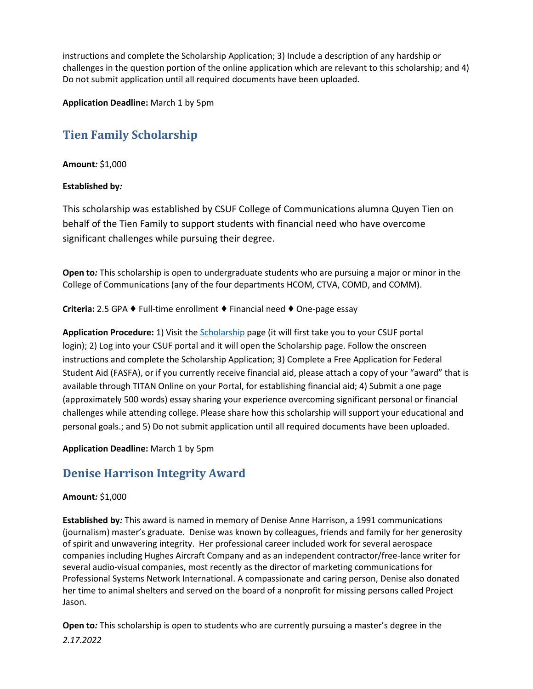instructions and complete the Scholarship Application; 3) Include a description of any hardship or challenges in the question portion of the online application which are relevant to this scholarship; and 4) Do not submit application until all required documents have been uploaded.

**Application Deadline:** March 1 by 5pm

# **Tien Family Scholarship**

#### **Amount***:* \$1,000

#### **Established by***:*

This scholarship was established by CSUF College of Communications alumna Quyen Tien on behalf of the Tien Family to support students with financial need who have overcome significant challenges while pursuing their degree.

**Open to***:* This scholarship is open to undergraduate students who are pursuing a major or minor in the College of Communications (any of the four departments HCOM, CTVA, COMD, and COMM).

**Criteria:** 2.5 GPA ♦ Full-time enrollment ♦ Financial need ♦ One-page essay

**Application Procedure:** 1) Visit the [Scholarship](https://my.fullerton.edu/Portal/Scholarships/) page (it will first take you to your CSUF portal login); 2) Log into your CSUF portal and it will open the Scholarship page. Follow the onscreen instructions and complete the Scholarship Application; 3) Complete a Free Application for Federal Student Aid (FASFA), or if you currently receive financial aid, please attach a copy of your "award" that is available through TITAN Online on your Portal, for establishing financial aid; 4) Submit a one page (approximately 500 words) essay sharing your experience overcoming significant personal or financial challenges while attending college. Please share how this scholarship will support your educational and personal goals.; and 5) Do not submit application until all required documents have been uploaded.

#### **Application Deadline:** March 1 by 5pm

## **Denise Harrison Integrity Award**

### **Amount***:* \$1,000

**Established by***:* This award is named in memory of Denise Anne Harrison, a 1991 communications (journalism) master's graduate. Denise was known by colleagues, friends and family for her generosity of spirit and unwavering integrity. Her professional career included work for several aerospace companies including Hughes Aircraft Company and as an independent contractor/free-lance writer for several audio-visual companies, most recently as the director of marketing communications for Professional Systems Network International. A compassionate and caring person, Denise also donated her time to animal shelters and served on the board of a nonprofit for missing persons called Project Jason.

*2.17.2022* **Open to***:* This scholarship is open to students who are currently pursuing a master's degree in the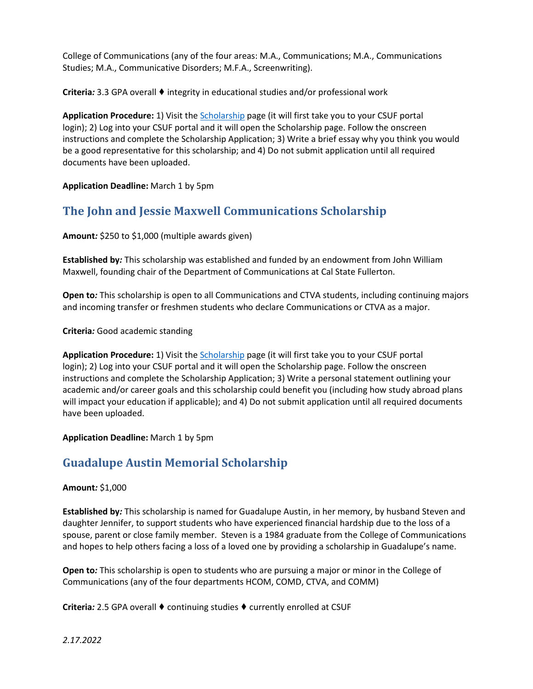College of Communications (any of the four areas: M.A., Communications; M.A., Communications Studies; M.A., Communicative Disorders; M.F.A., Screenwriting).

**Criteria***:* 3.3 GPA overall ♦ integrity in educational studies and/or professional work

**Application Procedure:** 1) Visit the [Scholarship](https://my.fullerton.edu/Portal/Scholarships/) page (it will first take you to your CSUF portal login); 2) Log into your CSUF portal and it will open the Scholarship page. Follow the onscreen instructions and complete the Scholarship Application; 3) Write a brief essay why you think you would be a good representative for this scholarship; and 4) Do not submit application until all required documents have been uploaded.

**Application Deadline:** March 1 by 5pm

## **The John and Jessie Maxwell Communications Scholarship**

**Amount***:* \$250 to \$1,000 (multiple awards given)

**Established by***:* This scholarship was established and funded by an endowment from John William Maxwell, founding chair of the Department of Communications at Cal State Fullerton.

**Open to***:* This scholarship is open to all Communications and CTVA students, including continuing majors and incoming transfer or freshmen students who declare Communications or CTVA as a major.

**Criteria***:* Good academic standing

**Application Procedure:** 1) Visit th[e Scholarship](https://my.fullerton.edu/Portal/Scholarships/) page (it will first take you to your CSUF portal login); 2) Log into your CSUF portal and it will open the Scholarship page. Follow the onscreen instructions and complete the Scholarship Application; 3) Write a personal statement outlining your academic and/or career goals and this scholarship could benefit you (including how study abroad plans will impact your education if applicable); and 4) Do not submit application until all required documents have been uploaded.

**Application Deadline:** March 1 by 5pm

## **Guadalupe Austin Memorial Scholarship**

#### **Amount***:* \$1,000

**Established by***:* This scholarship is named for Guadalupe Austin, in her memory, by husband Steven and daughter Jennifer, to support students who have experienced financial hardship due to the loss of a spouse, parent or close family member. Steven is a 1984 graduate from the College of Communications and hopes to help others facing a loss of a loved one by providing a scholarship in Guadalupe's name.

**Open to***:* This scholarship is open to students who are pursuing a major or minor in the College of Communications (any of the four departments HCOM, COMD, CTVA, and COMM)

**Criteria***:* 2.5 GPA overall ♦ continuing studies ♦ currently enrolled at CSUF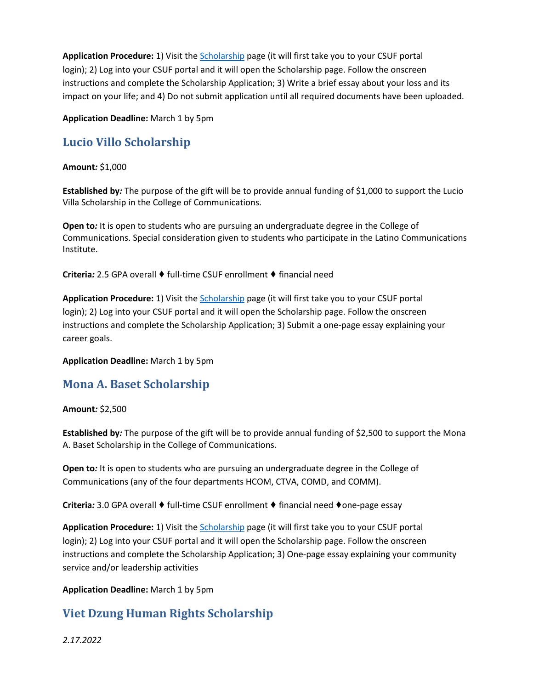**Application Procedure:** 1) Visit th[e Scholarship](https://my.fullerton.edu/Portal/Scholarships/) page (it will first take you to your CSUF portal login); 2) Log into your CSUF portal and it will open the Scholarship page. Follow the onscreen instructions and complete the Scholarship Application; 3) Write a brief essay about your loss and its impact on your life; and 4) Do not submit application until all required documents have been uploaded.

**Application Deadline:** March 1 by 5pm

## **Lucio Villo Scholarship**

#### **Amount***:* \$1,000

**Established by***:* The purpose of the gift will be to provide annual funding of \$1,000 to support the Lucio Villa Scholarship in the College of Communications.

**Open to***:* It is open to students who are pursuing an undergraduate degree in the College of Communications. Special consideration given to students who participate in the Latino Communications Institute.

**Criteria***:* 2.5 GPA overall ♦ full-time CSUF enrollment ♦ financial need

**Application Procedure:** 1) Visit th[e Scholarship](https://my.fullerton.edu/Portal/Scholarships/) page (it will first take you to your CSUF portal login); 2) Log into your CSUF portal and it will open the Scholarship page. Follow the onscreen instructions and complete the Scholarship Application; 3) Submit a one-page essay explaining your career goals.

**Application Deadline:** March 1 by 5pm

## **Mona A. Baset Scholarship**

#### **Amount***:* \$2,500

**Established by***:* The purpose of the gift will be to provide annual funding of \$2,500 to support the Mona A. Baset Scholarship in the College of Communications.

**Open to***:* It is open to students who are pursuing an undergraduate degree in the College of Communications (any of the four departments HCOM, CTVA, COMD, and COMM).

**Criteria***:* 3.0 GPA overall ♦ full-time CSUF enrollment ♦ financial need ♦one-page essay

**Application Procedure:** 1) Visit th[e Scholarship](https://my.fullerton.edu/Portal/Scholarships/) page (it will first take you to your CSUF portal login); 2) Log into your CSUF portal and it will open the Scholarship page. Follow the onscreen instructions and complete the Scholarship Application; 3) One-page essay explaining your community service and/or leadership activities

**Application Deadline:** March 1 by 5pm

## **Viet Dzung Human Rights Scholarship**